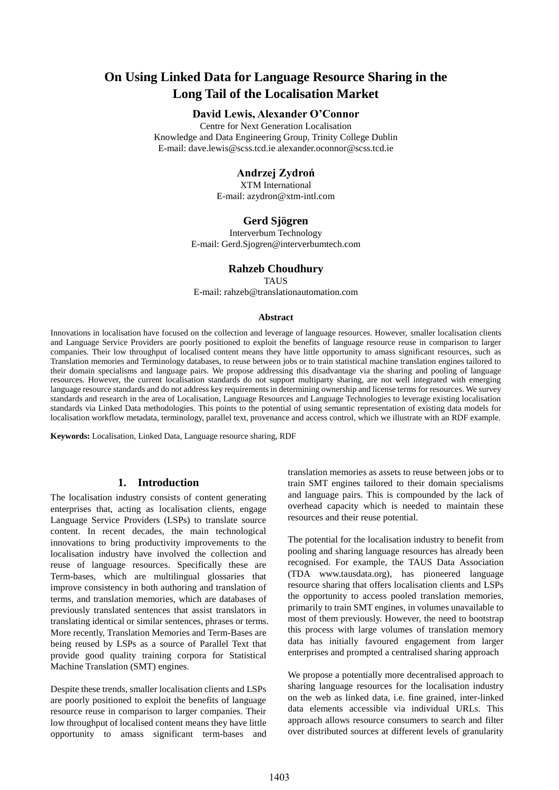# **On Using Linked Data for Language Resource Sharing in the Long Tail of the Localisation Market**

# **David Lewis, Alexander O'Connor**

Centre for Next Generation Localisation Knowledge and Data Engineering Group, Trinity College Dublin E-mail: dave.lewis@scss.tcd.ie alexander.oconnor@scss.tcd.ie

### **Andrzej Zydroń**

XTM International E-mail: azydron@xtm-intl.com

### **Gerd Sjögren**

Interverbum Technology E-mail: Gerd.Sjogren@interverbumtech.com

#### **Rahzeb Choudhury**

TAUS

E-mail: rahzeb@translationautomation.com

#### **Abstract**

Innovations in localisation have focused on the collection and leverage of language resources. However, smaller localisation clients and Language Service Providers are poorly positioned to exploit the benefits of language resource reuse in comparison to larger companies. Their low throughput of localised content means they have little opportunity to amass significant resources, such as Translation memories and Terminology databases, to reuse between jobs or to train statistical machine translation engines tailored to their domain specialisms and language pairs. We propose addressing this disadvantage via the sharing and pooling of language resources. However, the current localisation standards do not support multiparty sharing, are not well integrated with emerging language resource standards and do not address key requirements in determining ownership and license terms for resources. We survey standards and research in the area of Localisation, Language Resources and Language Technologies to leverage existing localisation standards via Linked Data methodologies. This points to the potential of using semantic representation of existing data models for localisation workflow metadata, terminology, parallel text, provenance and access control, which we illustrate with an RDF example.

**Keywords:** Localisation, Linked Data, Language resource sharing, RDF

#### **1. Introduction**

The localisation industry consists of content generating enterprises that, acting as localisation clients, engage Language Service Providers (LSPs) to translate source content. In recent decades, the main technological innovations to bring productivity improvements to the localisation industry have involved the collection and reuse of language resources. Specifically these are Term-bases, which are multilingual glossaries that improve consistency in both authoring and translation of terms, and translation memories, which are databases of previously translated sentences that assist translators in translating identical or similar sentences, phrases or terms. More recently, Translation Memories and Term-Bases are being reused by LSPs as a source of Parallel Text that provide good quality training corpora for Statistical Machine Translation (SMT) engines.

Despite these trends, smaller localisation clients and LSPs are poorly positioned to exploit the benefits of language resource reuse in comparison to larger companies. Their low throughput of localised content means they have little opportunity to amass significant term-bases and translation memories as assets to reuse between jobs or to train SMT engines tailored to their domain specialisms and language pairs. This is compounded by the lack of overhead capacity which is needed to maintain these resources and their reuse potential.

The potential for the localisation industry to benefit from pooling and sharing language resources has already been recognised. For example, the TAUS Data Association (TDA www.tausdata.org), has pioneered language resource sharing that offers localisation clients and LSPs the opportunity to access pooled translation memories, primarily to train SMT engines, in volumes unavailable to most of them previously. However, the need to bootstrap this process with large volumes of translation memory data has initially favoured engagement from larger enterprises and prompted a centralised sharing approach

We propose a potentially more decentralised approach to sharing language resources for the localisation industry on the web as linked data, i.e. fine grained, inter-linked data elements accessible via individual URLs. This approach allows resource consumers to search and filter over distributed sources at different levels of granularity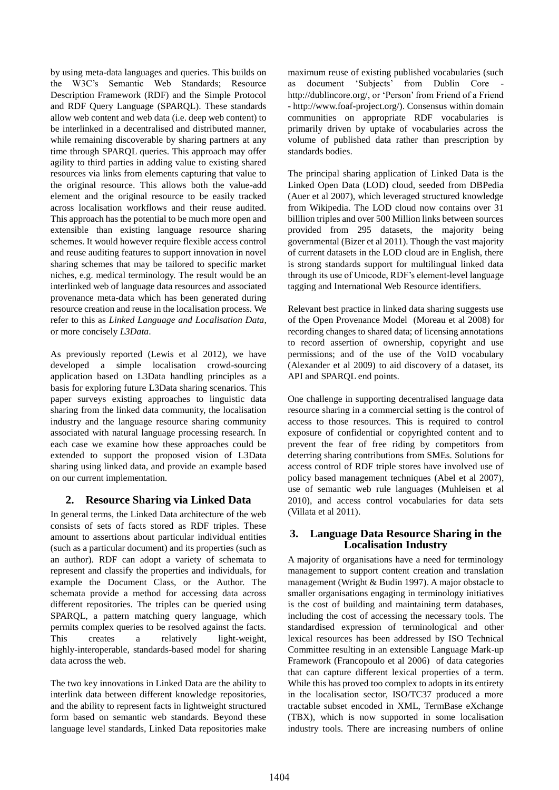by using meta-data languages and queries. This builds on the W3C's Semantic Web Standards; Resource Description Framework (RDF) and the Simple Protocol and RDF Query Language (SPARQL). These standards allow web content and web data (i.e. deep web content) to be interlinked in a decentralised and distributed manner, while remaining discoverable by sharing partners at any time through SPARQL queries. This approach may offer agility to third parties in adding value to existing shared resources via links from elements capturing that value to the original resource. This allows both the value-add element and the original resource to be easily tracked across localisation workflows and their reuse audited. This approach has the potential to be much more open and extensible than existing language resource sharing schemes. It would however require flexible access control and reuse auditing features to support innovation in novel sharing schemes that may be tailored to specific market niches, e.g. medical terminology. The result would be an interlinked web of language data resources and associated provenance meta-data which has been generated during resource creation and reuse in the localisation process. We refer to this as *Linked Language and Localisation Data*, or more concisely *L3Data*.

As previously reported (Lewis et al 2012), we have developed a simple localisation crowd-sourcing application based on L3Data handling principles as a basis for exploring future L3Data sharing scenarios. This paper surveys existing approaches to linguistic data sharing from the linked data community, the localisation industry and the language resource sharing community associated with natural language processing research. In each case we examine how these approaches could be extended to support the proposed vision of L3Data sharing using linked data, and provide an example based on our current implementation.

# **2. Resource Sharing via Linked Data**

In general terms, the Linked Data architecture of the web consists of sets of facts stored as RDF triples. These amount to assertions about particular individual entities (such as a particular document) and its properties (such as an author). RDF can adopt a variety of schemata to represent and classify the properties and individuals, for example the Document Class, or the Author. The schemata provide a method for accessing data across different repositories. The triples can be queried using SPARQL, a pattern matching query language, which permits complex queries to be resolved against the facts. This creates a relatively light-weight, highly-interoperable, standards-based model for sharing data across the web.

The two key innovations in Linked Data are the ability to interlink data between different knowledge repositories, and the ability to represent facts in lightweight structured form based on semantic web standards. Beyond these language level standards, Linked Data repositories make

maximum reuse of existing published vocabularies (such document 'Subjects' from Dublin Core http://dublincore.org/, or 'Person' from Friend of a Friend - http://www.foaf-project.org/). Consensus within domain communities on appropriate RDF vocabularies is primarily driven by uptake of vocabularies across the volume of published data rather than prescription by standards bodies.

The principal sharing application of Linked Data is the Linked Open Data (LOD) cloud, seeded from DBPedia (Auer et al 2007), which leveraged structured knowledge from Wikipedia. The LOD cloud now contains over 31 billlion triples and over 500 Million links between sources provided from 295 datasets, the majority being governmental (Bizer et al 2011). Though the vast majority of current datasets in the LOD cloud are in English, there is strong standards support for multilingual linked data through its use of Unicode, RDF's element-level language tagging and International Web Resource identifiers.

Relevant best practice in linked data sharing suggests use of the Open Provenance Model (Moreau et al 2008) for recording changes to shared data; of licensing annotations to record assertion of ownership, copyright and use permissions; and of the use of the VoID vocabulary (Alexander et al 2009) to aid discovery of a dataset, its API and SPARQL end points.

One challenge in supporting decentralised language data resource sharing in a commercial setting is the control of access to those resources. This is required to control exposure of confidential or copyrighted content and to prevent the fear of free riding by competitors from deterring sharing contributions from SMEs. Solutions for access control of RDF triple stores have involved use of policy based management techniques (Abel et al 2007), use of semantic web rule languages (Muhleisen et al 2010), and access control vocabularies for data sets (Villata et al 2011).

# **3. Language Data Resource Sharing in the Localisation Industry**

A majority of organisations have a need for terminology management to support content creation and translation management (Wright & Budin 1997). A major obstacle to smaller organisations engaging in terminology initiatives is the cost of building and maintaining term databases, including the cost of accessing the necessary tools. The standardised expression of terminological and other lexical resources has been addressed by ISO Technical Committee resulting in an extensible Language Mark-up Framework (Francopoulo et al 2006) of data categories that can capture different lexical properties of a term. While this has proved too complex to adopts in its entirety in the localisation sector, ISO/TC37 produced a more tractable subset encoded in XML, TermBase eXchange (TBX), which is now supported in some localisation industry tools. There are increasing numbers of online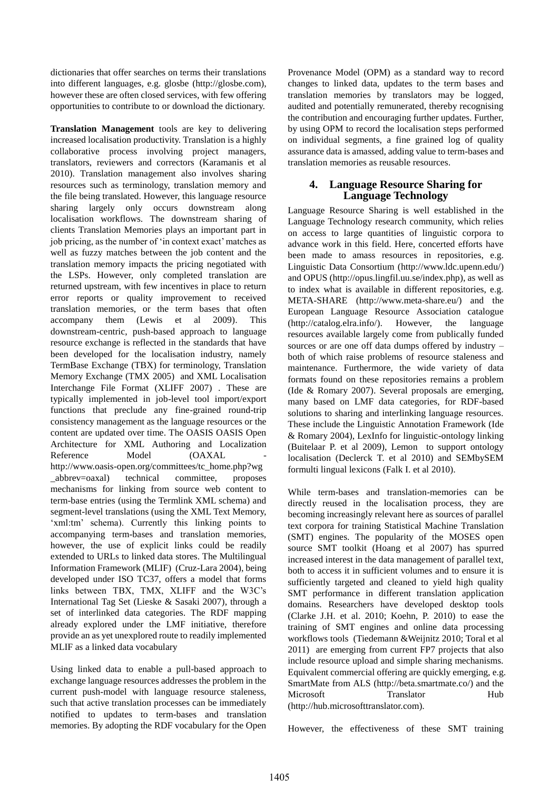dictionaries that offer searches on terms their translations into different languages, e.g. glosbe (http://glosbe.com), however these are often closed services, with few offering opportunities to contribute to or download the dictionary.

**Translation Management** tools are key to delivering increased localisation productivity. Translation is a highly collaborative process involving project managers, translators, reviewers and correctors (Karamanis et al 2010). Translation management also involves sharing resources such as terminology, translation memory and the file being translated. However, this language resource sharing largely only occurs downstream along localisation workflows. The downstream sharing of clients Translation Memories plays an important part in job pricing, as the number of 'in context exact' matches as well as fuzzy matches between the job content and the translation memory impacts the pricing negotiated with the LSPs. However, only completed translation are returned upstream, with few incentives in place to return error reports or quality improvement to received translation memories, or the term bases that often accompany them (Lewis et al 2009). This downstream-centric, push-based approach to language resource exchange is reflected in the standards that have been developed for the localisation industry, namely TermBase Exchange (TBX) for terminology, Translation Memory Exchange (TMX 2005) and XML Localisation Interchange File Format (XLIFF 2007) . These are typically implemented in job-level tool import/export functions that preclude any fine-grained round-trip consistency management as the language resources or the content are updated over time. The OASIS OASIS Open Architecture for XML Authoring and Localization Reference Model (OAXAL http://www.oasis-open.org/committees/tc\_home.php?wg \_abbrev=oaxal) technical committee, proposes mechanisms for linking from source web content to term-base entries (using the Termlink XML schema) and segment-level translations (using the XML Text Memory, 'xml:tm' schema). Currently this linking points to accompanying term-bases and translation memories, however, the use of explicit links could be readily extended to URLs to linked data stores. The Multilingual Information Framework (MLIF) (Cruz-Lara 2004), being developed under ISO TC37, offers a model that forms links between TBX, TMX, XLIFF and the W3C's International Tag Set (Lieske & Sasaki 2007), through a set of interlinked data categories. The RDF mapping already explored under the LMF initiative, therefore provide an as yet unexplored route to readily implemented MLIF as a linked data vocabulary

Using linked data to enable a pull-based approach to exchange language resources addresses the problem in the current push-model with language resource staleness, such that active translation processes can be immediately notified to updates to term-bases and translation memories. By adopting the RDF vocabulary for the Open

Provenance Model (OPM) as a standard way to record changes to linked data, updates to the term bases and translation memories by translators may be logged, audited and potentially remunerated, thereby recognising the contribution and encouraging further updates. Further, by using OPM to record the localisation steps performed on individual segments, a fine grained log of quality assurance data is amassed, adding value to term-bases and translation memories as reusable resources.

### **4. Language Resource Sharing for Language Technology**

Language Resource Sharing is well established in the Language Technology research community, which relies on access to large quantities of linguistic corpora to advance work in this field. Here, concerted efforts have been made to amass resources in repositories, e.g. Linguistic Data Consortium (http://www.ldc.upenn.edu/) and OPUS (http://opus.lingfil.uu.se/index.php), as well as to index what is available in different repositories, e.g. META-SHARE (http://www.meta-share.eu/) and the European Language Resource Association catalogue (http://catalog.elra.info/). However, the language resources available largely come from publically funded sources or are one off data dumps offered by industry – both of which raise problems of resource staleness and maintenance. Furthermore, the wide variety of data formats found on these repositories remains a problem (Ide & Romary 2007). Several proposals are emerging, many based on LMF data categories, for RDF-based solutions to sharing and interlinking language resources. These include the Linguistic Annotation Framework (Ide & Romary 2004), LexInfo for linguistic-ontology linking (Buitelaar P. et al 2009), Lemon to support ontology localisation (Declerck T. et al 2010) and SEMbySEM formulti lingual lexicons (Falk I. et al 2010).

While term-bases and translation-memories can be directly reused in the localisation process, they are becoming increasingly relevant here as sources of parallel text corpora for training Statistical Machine Translation (SMT) engines. The popularity of the MOSES open source SMT toolkit (Hoang et al 2007) has spurred increased interest in the data management of parallel text, both to access it in sufficient volumes and to ensure it is sufficiently targeted and cleaned to yield high quality SMT performance in different translation application domains. Researchers have developed desktop tools (Clarke J.H. et al. 2010; Koehn, P. 2010) to ease the training of SMT engines and online data processing workflows tools (Tiedemann &Weijnitz 2010; Toral et al 2011) are emerging from current FP7 projects that also include resource upload and simple sharing mechanisms. Equivalent commercial offering are quickly emerging, e.g. SmartMate from ALS (http://beta.smartmate.co/) and the Microsoft Translator Hub (http://hub.microsofttranslator.com).

However, the effectiveness of these SMT training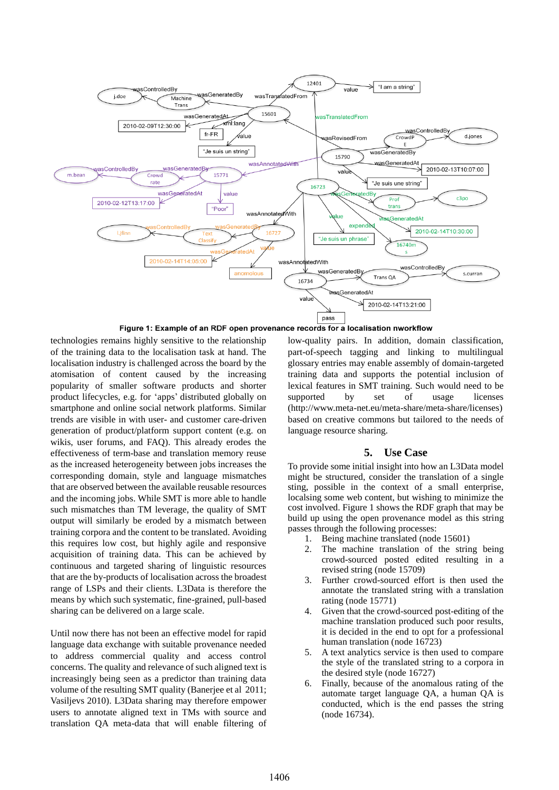

Figure 1: Example of an RDF open provenance records for a localisation nworkflow

technologies remains highly sensitive to the relationship of the training data to the localisation task at hand. The localisation industry is challenged across the board by the atomisation of content caused by the increasing popularity of smaller software products and shorter product lifecycles, e.g. for 'apps' distributed globally on smartphone and online social network platforms. Similar trends are visible in with user- and customer care-driven generation of product/platform support content (e.g. on wikis, user forums, and FAQ). This already erodes the effectiveness of term-base and translation memory reuse as the increased heterogeneity between jobs increases the corresponding domain, style and language mismatches that are observed between the available reusable resources and the incoming jobs. While SMT is more able to handle such mismatches than TM leverage, the quality of SMT output will similarly be eroded by a mismatch between training corpora and the content to be translated. Avoiding this requires low cost, but highly agile and responsive acquisition of training data. This can be achieved by continuous and targeted sharing of linguistic resources that are the by-products of localisation across the broadest range of LSPs and their clients. L3Data is therefore the means by which such systematic, fine-grained, pull-based sharing can be delivered on a large scale.

Until now there has not been an effective model for rapid language data exchange with suitable provenance needed to address commercial quality and access control concerns. The quality and relevance of such aligned text is increasingly being seen as a predictor than training data volume of the resulting SMT quality (Banerjee et al 2011; Vasiljevs 2010). L3Data sharing may therefore empower users to annotate aligned text in TMs with source and translation QA meta-data that will enable filtering of low-quality pairs. In addition, domain classification, part-of-speech tagging and linking to multilingual glossary entries may enable assembly of domain-targeted training data and supports the potential inclusion of lexical features in SMT training. Such would need to be supported by set of usage licenses (http://www.meta-net.eu/meta-share/meta-share/licenses) based on creative commons but tailored to the needs of language resource sharing.

# **5. Use Case**

To provide some initial insight into how an L3Data model might be structured, consider the translation of a single sting, possible in the context of a small enterprise, localsing some web content, but wishing to minimize the cost involved. Figure 1 shows the RDF graph that may be build up using the open provenance model as this string passes through the following processes:

- 1. Being machine translated (node 15601)
- 2. The machine translation of the string being crowd-sourced posted edited resulting in a revised string (node 15709)
- 3. Further crowd-sourced effort is then used the annotate the translated string with a translation rating (node 15771)
- 4. Given that the crowd-sourced post-editing of the machine translation produced such poor results, it is decided in the end to opt for a professional human translation (node 16723)
- 5. A text analytics service is then used to compare the style of the translated string to a corpora in the desired style (node 16727)
- 6. Finally, because of the anomalous rating of the automate target language QA, a human QA is conducted, which is the end passes the string (node 16734).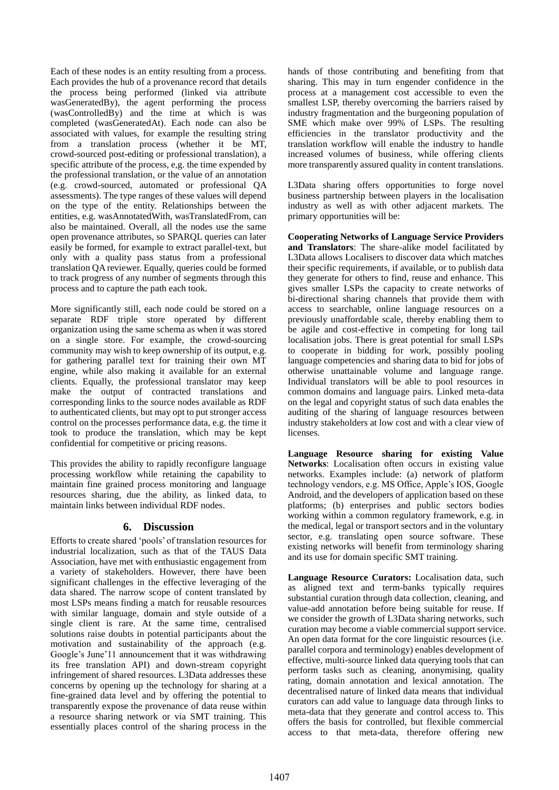Each of these nodes is an entity resulting from a process. Each provides the hub of a provenance record that details the process being performed (linked via attribute wasGeneratedBy), the agent performing the process (wasControlledBy) and the time at which is was completed (wasGeneratedAt). Each node can also be associated with values, for example the resulting string from a translation process (whether it be MT, crowd-sourced post-editing or professional translation), a specific attribute of the process, e,g. the time expended by the professional translation, or the value of an annotation (e.g. crowd-sourced, automated or professional QA assessments). The type ranges of these values will depend on the type of the entity. Relationships between the entities, e.g. wasAnnotatedWith, wasTranslatedFrom, can also be maintained. Overall, all the nodes use the same open provenance attributes, so SPARQL queries can later easily be formed, for example to extract parallel-text, but only with a quality pass status from a professional translation QA reviewer. Equally, queries could be formed to track progress of any number of segments through this process and to capture the path each took.

More significantly still, each node could be stored on a separate RDF triple store operated by different organization using the same schema as when it was stored on a single store. For example, the crowd-sourcing community may wish to keep ownership of its output, e.g. for gathering parallel text for training their own MT engine, while also making it available for an external clients. Equally, the professional translator may keep make the output of contracted translations and corresponding links to the source nodes available as RDF to authenticated clients, but may opt to put stronger access control on the processes performance data, e.g. the time it took to produce the translation, which may be kept confidential for competitive or pricing reasons.

This provides the ability to rapidly reconfigure language processing workflow while retaining the capability to maintain fine grained process monitoring and language resources sharing, due the ability, as linked data, to maintain links between individual RDF nodes.

# **6. Discussion**

Efforts to create shared 'pools' of translation resources for industrial localization, such as that of the TAUS Data Association, have met with enthusiastic engagement from a variety of stakeholders. However, there have been significant challenges in the effective leveraging of the data shared. The narrow scope of content translated by most LSPs means finding a match for reusable resources with similar language, domain and style outside of a single client is rare. At the same time, centralised solutions raise doubts in potential participants about the motivation and sustainability of the approach (e.g. Google's June'11 announcement that it was withdrawing its free translation API) and down-stream copyright infringement of shared resources. L3Data addresses these concerns by opening up the technology for sharing at a fine-grained data level and by offering the potential to transparently expose the provenance of data reuse within a resource sharing network or via SMT training. This essentially places control of the sharing process in the

hands of those contributing and benefiting from that sharing. This may in turn engender confidence in the process at a management cost accessible to even the smallest LSP, thereby overcoming the barriers raised by industry fragmentation and the burgeoning population of SME which make over 99% of LSPs. The resulting efficiencies in the translator productivity and the translation workflow will enable the industry to handle increased volumes of business, while offering clients more transparently assured quality in content translations.

L3Data sharing offers opportunities to forge novel business partnership between players in the localisation industry as well as with other adjacent markets. The primary opportunities will be:

**Cooperating Networks of Language Service Providers and Translators**: The share-alike model facilitated by L3Data allows Localisers to discover data which matches their specific requirements, if available, or to publish data they generate for others to find, reuse and enhance. This gives smaller LSPs the capacity to create networks of bi-directional sharing channels that provide them with access to searchable, online language resources on a previously unaffordable scale, thereby enabling them to be agile and cost-effective in competing for long tail localisation jobs. There is great potential for small LSPs to cooperate in bidding for work, possibly pooling language competencies and sharing data to bid for jobs of otherwise unattainable volume and language range. Individual translators will be able to pool resources in common domains and language pairs. Linked meta-data on the legal and copyright status of such data enables the auditing of the sharing of language resources between industry stakeholders at low cost and with a clear view of licenses.

**Language Resource sharing for existing Value Networks**: Localisation often occurs in existing value networks. Examples include: (a) network of platform technology vendors, e.g. MS Office, Apple's IOS, Google Android, and the developers of application based on these platforms; (b) enterprises and public sectors bodies working within a common regulatory framework, e.g. in the medical, legal or transport sectors and in the voluntary sector, e.g. translating open source software. These existing networks will benefit from terminology sharing and its use for domain specific SMT training.

**Language Resource Curators:** Localisation data, such as aligned text and term-banks typically requires substantial curation through data collection, cleaning, and value-add annotation before being suitable for reuse. If we consider the growth of L3Data sharing networks, such curation may become a viable commercial support service. An open data format for the core linguistic resources (i.e. parallel corpora and terminology) enables development of effective, multi-source linked data querying tools that can perform tasks such as cleaning, anonymising, quality rating, domain annotation and lexical annotation. The decentralised nature of linked data means that individual curators can add value to language data through links to meta-data that they generate and control access to. This offers the basis for controlled, but flexible commercial access to that meta-data, therefore offering new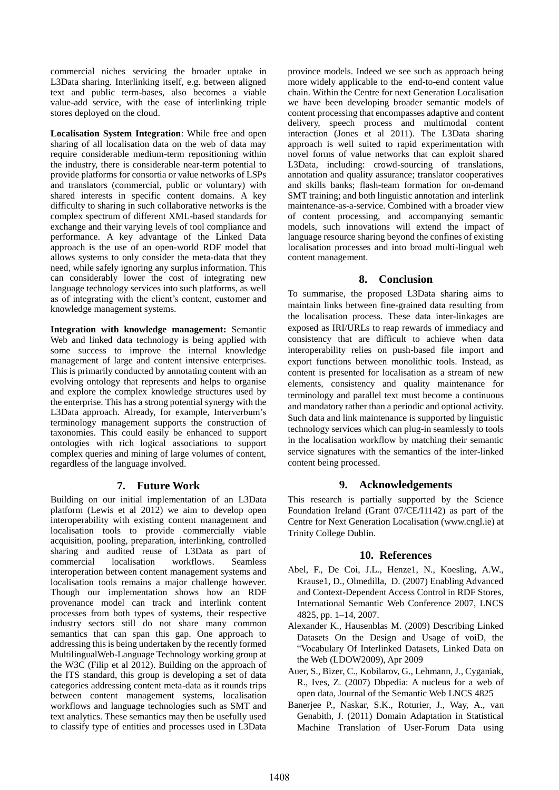commercial niches servicing the broader uptake in L3Data sharing. Interlinking itself, e.g. between aligned text and public term-bases, also becomes a viable value-add service, with the ease of interlinking triple stores deployed on the cloud.

**Localisation System Integration**: While free and open sharing of all localisation data on the web of data may require considerable medium-term repositioning within the industry, there is considerable near-term potential to provide platforms for consortia or value networks of LSPs and translators (commercial, public or voluntary) with shared interests in specific content domains. A key difficulty to sharing in such collaborative networks is the complex spectrum of different XML-based standards for exchange and their varying levels of tool compliance and performance. A key advantage of the Linked Data approach is the use of an open-world RDF model that allows systems to only consider the meta-data that they need, while safely ignoring any surplus information. This can considerably lower the cost of integrating new language technology services into such platforms, as well as of integrating with the client's content, customer and knowledge management systems.

**Integration with knowledge management:** Semantic Web and linked data technology is being applied with some success to improve the internal knowledge management of large and content intensive enterprises. This is primarily conducted by annotating content with an evolving ontology that represents and helps to organise and explore the complex knowledge structures used by the enterprise. This has a strong potential synergy with the L3Data approach. Already, for example, Interverbum's terminology management supports the construction of taxonomies. This could easily be enhanced to support ontologies with rich logical associations to support complex queries and mining of large volumes of content, regardless of the language involved.

# **7. Future Work**

Building on our initial implementation of an L3Data platform (Lewis et al 2012) we aim to develop open interoperability with existing content management and localisation tools to provide commercially viable acquisition, pooling, preparation, interlinking, controlled sharing and audited reuse of L3Data as part of commercial localisation workflows. Seamless interoperation between content management systems and localisation tools remains a major challenge however. Though our implementation shows how an RDF provenance model can track and interlink content processes from both types of systems, their respective industry sectors still do not share many common semantics that can span this gap. One approach to addressing this is being undertaken by the recently formed MultilingualWeb-Language Technology working group at the W3C (Filip et al 2012). Building on the approach of the ITS standard, this group is developing a set of data categories addressing content meta-data as it rounds trips between content management systems, localisation workflows and language technologies such as SMT and text analytics. These semantics may then be usefully used to classify type of entities and processes used in L3Data

province models. Indeed we see such as approach being more widely applicable to the end-to-end content value chain. Within the Centre for next Generation Localisation we have been developing broader semantic models of content processing that encompasses adaptive and content delivery, speech process and multimodal content interaction (Jones et al 2011). The L3Data sharing approach is well suited to rapid experimentation with novel forms of value networks that can exploit shared L3Data, including: crowd-sourcing of translations, annotation and quality assurance; translator cooperatives and skills banks; flash-team formation for on-demand SMT training; and both linguistic annotation and interlink maintenance-as-a-service. Combined with a broader view of content processing, and accompanying semantic models, such innovations will extend the impact of language resource sharing beyond the confines of existing localisation processes and into broad multi-lingual web content management.

# **8. Conclusion**

To summarise, the proposed L3Data sharing aims to maintain links between fine-grained data resulting from the localisation process. These data inter-linkages are exposed as IRI/URLs to reap rewards of immediacy and consistency that are difficult to achieve when data interoperability relies on push-based file import and export functions between monolithic tools. Instead, as content is presented for localisation as a stream of new elements, consistency and quality maintenance for terminology and parallel text must become a continuous and mandatory rather than a periodic and optional activity. Such data and link maintenance is supported by linguistic technology services which can plug-in seamlessly to tools in the localisation workflow by matching their semantic service signatures with the semantics of the inter-linked content being processed.

# **9. Acknowledgements**

This research is partially supported by the Science Foundation Ireland (Grant 07/CE/I1142) as part of the Centre for Next Generation Localisation (www.cngl.ie) at Trinity College Dublin.

# **10. References**

- Abel, F., De Coi, J.L., Henze1, N., Koesling, A.W., Krause1, D., Olmedilla, D. (2007) Enabling Advanced and Context-Dependent Access Control in RDF Stores, International Semantic Web Conference 2007, LNCS 4825, pp. 1–14, 2007.
- Alexander K., Hausenblas M. (2009) Describing Linked Datasets On the Design and Usage of voiD, the "Vocabulary Of Interlinked Datasets, Linked Data on the Web (LDOW2009), Apr 2009
- Auer, S., Bizer, C., Kobilarov, G., Lehmann, J., Cyganiak, R., Ives, Z. (2007) Dbpedia: A nucleus for a web of open data, Journal of the Semantic Web LNCS 4825
- Banerjee P., Naskar, S.K., Roturier, J., Way, A., van Genabith, J. (2011) Domain Adaptation in Statistical Machine Translation of User-Forum Data using